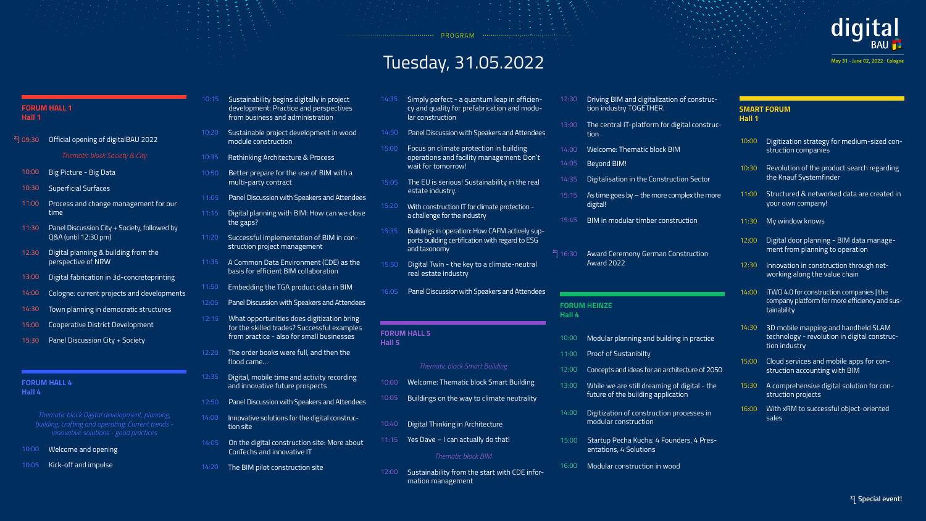# Tuesday, 31.05.2022

......... PROGRAM .......

- 10:00 Welcome and opening
- 10:05 Kick-off and impulse

14:20 The BIM pilot construction site

May 31 - June 02, 2022 · Cologne

- erfect a quantum leap in efficienuality for prefabrication and moduuction
- cussion with Speakers and Attendees
- **climate protection in building** ns and facility management: Don't wandrrow!
- s serious! Sustainability in the real dustry.
- struction IT for climate protection - $\alpha$  for the industry
- in operation: How CAFM actively supding certification with regard to ESG omy
- win the key to a climate-neutral te industry
- cussion with Speakers and Attendees

**Special event!**

#### **FORUM HALL 1 Hall 1**

#### **FORUM HALL 4 Hall 4**

### **FORUM HEINZE**

**Hall 4**

| <b>HALL 1</b>                                                                                                                         | 10:15 | Sustainability begins digitally in project<br>development: Practice and perspectives<br>from business and administration | 14:35 | Simply perfect - a quantum leap in efficien-<br>cy and quality for prefabrication and modu-<br>lar construction | 12:30        |
|---------------------------------------------------------------------------------------------------------------------------------------|-------|--------------------------------------------------------------------------------------------------------------------------|-------|-----------------------------------------------------------------------------------------------------------------|--------------|
| Official opening of digitalBAU 2022                                                                                                   | 10:20 | Sustainable project development in wood<br>module construction                                                           | 14:50 | Panel Discussion with Speakers and Attendees                                                                    | 13:00        |
| Thematic block Society & City                                                                                                         | 10:35 | Rethinking Architecture & Process                                                                                        | 15:00 | Focus on climate protection in building<br>operations and facility management: Don't                            | 14:00        |
|                                                                                                                                       |       |                                                                                                                          |       | wait for tomorrow!                                                                                              | 14:05        |
| Big Picture - Big Data                                                                                                                | 10:50 | Better prepare for the use of BIM with a<br>multi-party contract                                                         | 15:05 | The EU is serious! Sustainability in the real                                                                   | 14:35        |
| <b>Superficial Surfaces</b>                                                                                                           | 11:05 | Panel Discussion with Speakers and Attendees                                                                             |       | estate industry.                                                                                                | 15:15        |
| Process and change management for our<br>time                                                                                         | 11:15 | Digital planning with BIM: How can we close                                                                              | 15:20 | With construction IT for climate protection -<br>a challenge for the industry                                   | 15:45        |
| Panel Discussion City + Society, followed by<br>Q&A (until 12:30 pm)                                                                  | 11:20 | the gaps?<br>Successful implementation of BIM in con-<br>struction project management                                    | 15:35 | Buildings in operation: How CAFM actively sup-<br>ports building certification with regard to ESG               |              |
| Digital planning & building from the<br>perspective of NRW                                                                            | 11:35 | A Common Data Environment (CDE) as the<br>basis for efficient BIM collaboration                                          | 15:50 | and taxonomy<br>Digital Twin - the key to a climate-neutral<br>real estate industry                             | $^{2}$ 16:30 |
| Digital fabrication in 3d-concreteprinting                                                                                            | 11:50 | Embedding the TGA product data in BIM                                                                                    |       |                                                                                                                 |              |
| Cologne: current projects and developments                                                                                            |       |                                                                                                                          | 16:05 | Panel Discussion with Speakers and Attendees                                                                    |              |
| Town planning in democratic structures                                                                                                |       | 12:05 Panel Discussion with Speakers and Attendees                                                                       |       |                                                                                                                 | <b>FORL</b>  |
| Cooperative District Development                                                                                                      | 12:15 | What opportunities does digitization bring                                                                               |       |                                                                                                                 | Hall 4       |
| Panel Discussion City + Society                                                                                                       |       | for the skilled trades? Successful examples<br>from practice - also for small businesses                                 |       | <b>FORUM HALL 5</b><br>Hall 5                                                                                   |              |
|                                                                                                                                       | 12:20 | The order books were full, and then the                                                                                  |       |                                                                                                                 | 11:00        |
|                                                                                                                                       |       | flood came                                                                                                               |       | <b>Thematic block Smart Building</b>                                                                            | 12:00        |
| <b>HALL 4</b>                                                                                                                         | 12:35 | Digital, mobile time and activity recording<br>and innovative future prospects                                           | 10:00 | Welcome: Thematic block Smart Building                                                                          | 13:00        |
|                                                                                                                                       | 12:50 | Panel Discussion with Speakers and Attendees                                                                             | 10:05 | Buildings on the way to climate neutrality                                                                      |              |
| matic block Digital development, planning,<br>ling, crafting and operating: Current trends -<br>innovative solutions - good practices | 14:00 | Innovative solutions for the digital construc-<br>tion site                                                              | 10:40 | Digital Thinking in Architecture                                                                                | 14:00        |
|                                                                                                                                       | 14:05 | On the digital construction site: More about                                                                             | 11:15 | Yes Dave - I can actually do that!                                                                              | 15:00        |
| Welcome and opening                                                                                                                   |       | ConTechs and innovative IT                                                                                               |       | Thomatic block DIM                                                                                              |              |

*Thematic block Digital development, planning, building, crafting and operating: Current trends innovative solutions - good practices*

- Thematic block Smart Building
- $s$  on the way to climate neutrality
- ninking in Architecture
- $-$  I can actually do that!
- *Thematic block BIM*
- 12:00 Sustainability from the start with CDE information management

## *Thematic block Smart Building*

| 09:30 | Official opening of digitalBAU 2022                                  |
|-------|----------------------------------------------------------------------|
|       | Thematic block Society & City                                        |
| 10:00 | Big Picture - Big Data                                               |
| 10:30 | <b>Superficial Surfaces</b>                                          |
| 11:00 | Process and change management for our<br>time                        |
| 11:30 | Panel Discussion City + Society, followed by<br>Q&A (until 12:30 pm) |
| 12:30 | Digital planning & building from the<br>perspective of NRW           |
| 13:00 | Digital fabrication in 3d-concreteprinting                           |
| 14:00 | Cologne: current projects and developments                           |
| 14:30 | Town planning in democratic structures                               |
| 15:00 | Cooperative District Development                                     |
| 15:30 | Panel Discussion City + Society                                      |

- 11:00 12:00 13:00 While we are still dreaming of digital - the 14:00 Digitization of construction processes in Modular planning and building in practice Proof of Sustanibilty Concepts and ideas for an architecture of 2050 future of the building application modular construction
- 15:00 Startup Pecha Kucha: 4 Founders, 4 Presentations, 4 Solutions
- 16:00 Modular construction in wood

### **SMART FORUM Hall 1**

10:00 Digitization strategy for medium-sized con-12:30 Innovation in construction through net-10:30 Revolution of the product search regarding 11:00 Structured & networked data are created in 14:00 11:30 My window knows 14:30 3D mobile mapping and handheld SLAM 12:00 Digital door planning - BIM data manage-15:00 Cloud services and mobile apps for con-15:30 A comprehensive digital solution for con-16:00 With xRM to successful object-oriented struction companies working along the value chain the Knauf Systemfinder iTWO 4.0 for construction companies | the company platform for more efficiency and sustainability your own company! technology - revolution in digital construction industry ment from planning to operation struction accounting with BIM struction projects

sales

# digital











- 12:30 Driving BIM and digitalization of construction industry TOGETHER.
- 13:00 The central IT-platform for digital construction
- 14:00 Welcome: Thematic block BIM
- 14:05 Beyond BIM!
- 14:35 Digitalisation in the Construction Sector
- 15:15 As time goes by  $-$  the more complex the more digital!
- 15:45 BIM in modular timber construction
- 16:30 Award Ceremony German Construction Award 2022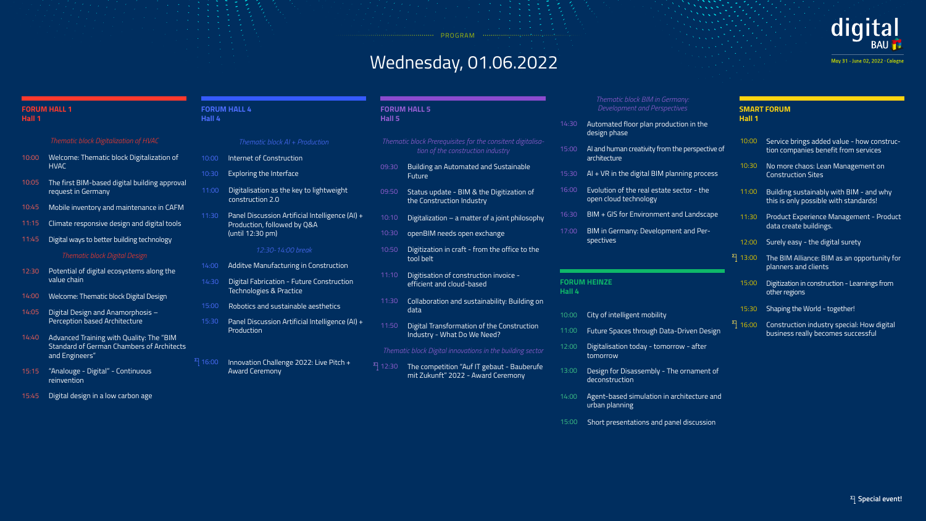PROGRAM

# Wednesday, 01.06.2022

## 10:00 Welcome: Thematic block Digitalization of 10:05 The first BIM-based digital building approval 10:45 12:30 Potential of digital ecosystems along the 14:40 Advanced Training with Quality: The "BIM 11:15 14:00 15:15 "Analouge - Digital" - Continuous 11:45 14:05 HVAC *Thematic block Digitalization of HVAC Thematic block Digital Design* request in Germany Mobile inventory and maintenance in CAFM value chain Standard of German Chambers of Architects and Engineers" Climate responsive design and digital tools Welcome: Thematic block Digital Design Digital ways to better building technology Digital Design and Anamorphosis – Perception based Architecture

**Special event!**

#### **FORUM HALL 1 Hall 1**

#### **FORUM HALL 4 Hall 4**

#### **FORUM HEINZE Hall 4**

| ock Prerequisites for the consitent digitalisa- |  |
|-------------------------------------------------|--|
| tion of the construction industry               |  |

*Thematic block Digital innovations in the building sector*

#### *Thematic block BIM in Germany: Development and Perspectives*

## 15:45 Digital design in a low carbon age

reinvention

- 10:00 City of intelligent mobility
- 11:00 Future Spaces through Data-Driven Design
- 12:00 Digitalisation today - tomorrow - after tomorrow
- 13:00 Design for Disassembly - The ornament of deconstruction
- 14:00 Agent-based simulation in architecture and urban planning
- 15:00 Short presentations and panel discussion

#### 10:00 15:30 10:30  $^{2}$  16:00 11:00 14:30 11:30 Panel Discussion Artificial Intelligence (AI) + 15:00 14:00 Internet of Construction Panel Discussion Artificial Intelligence (AI) + Production Exploring the Interface Innovation Challenge 2022: Live Pitch + Award Ceremony Digitalisation as the key to lightweight construction 2.0 Digital Fabrication - Future Construction Technologies & Practice Production, followed by Q&A (until 12:30 pm) Robotics and sustainable aesthetics Additve Manufacturing in Construction *Thematic block AI + Production 12:30-14:00 break Thematic block P* 09:30 11:30 09:50 11:50 10:10 11:10 10:50 **Future** data tool belt

### **SMART FORUM Hall 1**





| 10:00 | Service brings added value - how const<br>tion companies benefit from services |
|-------|--------------------------------------------------------------------------------|
| 10:30 | No more chaos: Lean Management on<br><b>Construction Sites</b>                 |

- 11:00 Building sustainably with BIM and why this is only possible with standards!
- 11:30 Product Experience Management Product data create buildings.
- 12:00 Surely easy - the digital surety
- 13:00 The BIM Alliance: BIM as an opportunity for planners and clients
	- 15:00 Digitization in construction Learnings from other regions
- 15:30 Shaping the World together!
- 16:00 Construction industry special: How digital business really becomes successful

**FORUM HALL 5**

**Hall 5**

Building an Automated and Sustainable

Collaboration and sustainability: Building on

Status update - BIM & the Digitization of the Construction Industry

 $\overline{a}$  Digitalization – a matter of a joint philosophy

12:30 The competition "Auf IT gebaut - Bauberufe mit Zukunft" 2022 - Award Ceremony

May 31 - June 02, 2022 · Cologne

Digital Transformation of the Construction Industry - What Do We Need?

- 14:30 Automated floor plan production in the design phase
- 15:00 AI and human creativity from the perspective of architecture
- 15:30 AI + VR in the digital BIM planning process
- 16:00 Evolution of the real estate sector - the open cloud technology
- 16:30 BIM + GIS for Environment and Landscape
- 17:00 10:30 spectives openBIM needs open exchange BIM in Germany: Development and Per-

Digitisation of construction invoice efficient and cloud-based

Digitization in craft - from the office to the